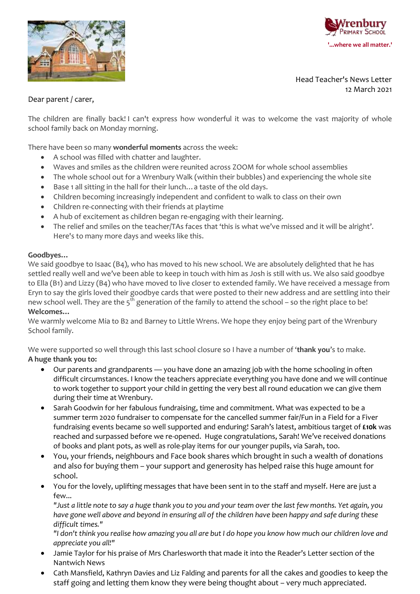



### Dear parent / carer,

The children are finally back! I can't express how wonderful it was to welcome the vast majority of whole school family back on Monday morning.

There have been so many **wonderful moments** across the week:

- A school was filled with chatter and laughter.
- Waves and smiles as the children were reunited across ZOOM for whole school assemblies
- The whole school out for a Wrenbury Walk (within their bubbles) and experiencing the whole site
- Base 1 all sitting in the hall for their lunch... a taste of the old days.
- Children becoming increasingly independent and confident to walk to class on their own
- Children re-connecting with their friends at playtime
- A hub of excitement as children began re-engaging with their learning.
- The relief and smiles on the teacher/TAs faces that 'this is what we've missed and it will be alright'. Here's to many more days and weeks like this.

### **Goodbyes…**

We said goodbye to Isaac (B4), who has moved to his new school. We are absolutely delighted that he has settled really well and we've been able to keep in touch with him as Josh is still with us. We also said goodbye to Ella (B1) and Lizzy (B4) who have moved to live closer to extended family. We have received a message from Eryn to say the girls loved their goodbye cards that were posted to their new address and are settling into their new school well. They are the  $5<sup>th</sup>$  generation of the family to attend the school – so the right place to be! **Welcomes…**

We warmly welcome Mia to B2 and Barney to Little Wrens. We hope they enjoy being part of the Wrenbury School family.

We were supported so well through this last school closure so I have a number of '**thank you**'s to make. **A huge thank you to:**

- Our parents and grandparents you have done an amazing job with the home schooling in often difficult circumstances. I know the teachers appreciate everything you have done and we will continue to work together to support your child in getting the very best all round education we can give them during their time at Wrenbury.
- Sarah Goodwin for her fabulous fundraising, time and commitment. What was expected to be a summer term 2020 fundraiser to compensate for the cancelled summer fair/Fun in a Field for a Fiver fundraising events became so well supported and enduring! Sarah's latest, ambitious target of **£10k** was reached and surpassed before we re-opened. Huge congratulations, Sarah! We've received donations of books and plant pots, as well as role-play items for our younger pupils, via Sarah, too.
- You, your friends, neighbours and Face book shares which brought in such a wealth of donations and also for buying them – your support and generosity has helped raise this huge amount for school.
- You for the lovely, uplifting messages that have been sent in to the staff and myself. Here are just a few...

*"Just a little note to say a huge thank you to you and your team over the last few months. Yet again, you have gone well above and beyond in ensuring all of the children have been happy and safe during these difficult times."*

*"I don't think you realise how amazing you all are but I do hope you know how much our children love and appreciate you all!"*

- Jamie Taylor for his praise of Mrs Charlesworth that made it into the Reader's Letter section of the Nantwich News
- Cath Mansfield, Kathryn Davies and Liz Falding and parents for all the cakes and goodies to keep the staff going and letting them know they were being thought about – very much appreciated.